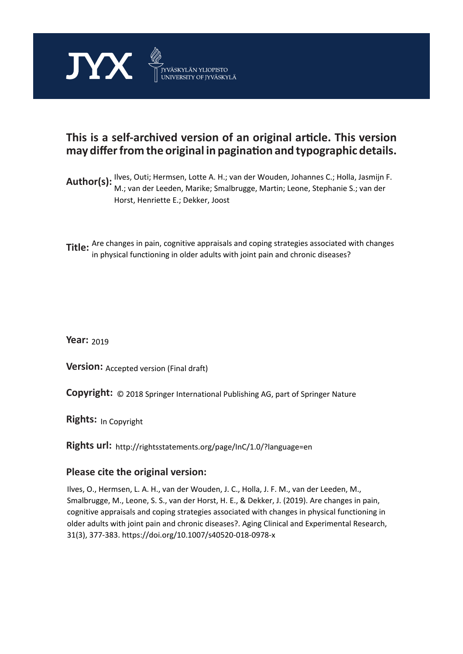

# **This is a self-archived version of an original article. This version may differ from the original in pagination and typographic details.**

- **Author(s):** Ilves, Outi; Hermsen, Lotte A. H.; van der Wouden, Johannes C.; Holla, Jasmijn F.<br>**Author(s):** Mauren der Leeden, Merika, Gualhuusse, Mertin, Leene, Gterkenis Guyen der M.; van der Leeden, Marike; Smalbrugge, Martin; Leone, Stephanie S.; van der Horst, Henriette E.; Dekker, Joost
- **Title:** Are changes in pain, cognitive appraisals and coping strategies associated with changes in physical functioning in older adults with joint pain and chronic diseases?

**Year:**  2019

**Version:** Accepted version (Final draft)

**Version:** Accepted version (Final draft)<br>**Copyright:** © 2018 Springer International Publishing AG, part of Springer Nature

**Rights:** In Copyright

**Rights url:**  http://rightsstatements.org/page/InC/1.0/?language=en

## **Please cite the original version:**

Ilves, O., Hermsen, L. A. H., van der Wouden, J. C., Holla, J. F. M., van der Leeden, M., Smalbrugge, M., Leone, S. S., van der Horst, H. E., & Dekker, J. (2019). Are changes in pain, cognitive appraisals and coping strategies associated with changes in physical functioning in older adults with joint pain and chronic diseases?. Aging Clinical and Experimental Research, 31(3), 377-383. https://doi.org/10.1007/s40520-018-0978-x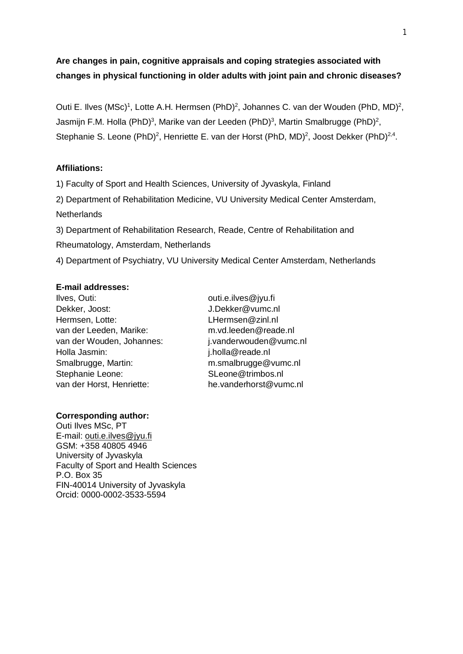## **Are changes in pain, cognitive appraisals and coping strategies associated with changes in physical functioning in older adults with joint pain and chronic diseases?**

Outi E. Ilves (MSc)<sup>1</sup>, Lotte A.H. Hermsen (PhD)<sup>2</sup>, Johannes C. van der Wouden (PhD, MD)<sup>2</sup>, Jasmijn F.M. Holla (PhD)<sup>3</sup>, Marike van der Leeden (PhD)<sup>3</sup>, Martin Smalbrugge (PhD)<sup>2</sup>, Stephanie S. Leone (PhD)<sup>2</sup>, Henriette E. van der Horst (PhD, MD)<sup>2</sup>, Joost Dekker (PhD)<sup>2,4</sup>.

## **Affiliations:**

1) Faculty of Sport and Health Sciences, University of Jyvaskyla, Finland 2) Department of Rehabilitation Medicine, VU University Medical Center Amsterdam, **Netherlands** 

3) Department of Rehabilitation Research, Reade, Centre of Rehabilitation and Rheumatology, Amsterdam, Netherlands

4) Department of Psychiatry, VU University Medical Center Amsterdam, Netherlands

## **E-mail addresses:**

Ilves, Outi: outi.e.ilves@jyu.fi Dekker, Joost: J.Dekker@vumc.nl Hermsen, Lotte: [LHermsen@zinl.nl](mailto:LHermsen@zinl.nl) van der Leeden, Marike: m.vd.leeden@reade.nl van der Wouden, Johannes: i.vanderwouden@vumc.nl Holla Jasmin: j.holla@reade.nl Smalbrugge, Martin: m.smalbrugge@vumc.nl Stephanie Leone: SLeone@trimbos.nl van der Horst, Henriette: he.vanderhorst@vumc.nl

## **Corresponding author:**

Outi Ilves MSc, PT E-mail: [outi.e.ilves@jyu.fi](mailto:outi.e.ilves@jyu.fi) GSM: +358 40805 4946 University of Jyvaskyla Faculty of Sport and Health Sciences P.O. Box 35 FIN-40014 University of Jyvaskyla Orcid: 0000-0002-3533-5594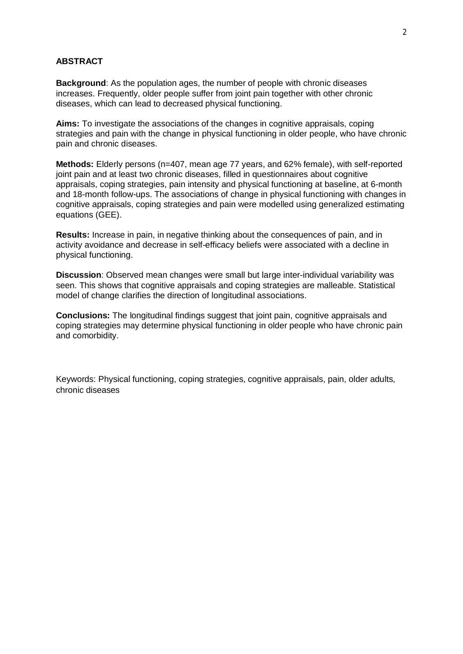#### **ABSTRACT**

**Background**: As the population ages, the number of people with chronic diseases increases. Frequently, older people suffer from joint pain together with other chronic diseases, which can lead to decreased physical functioning.

**Aims:** To investigate the associations of the changes in cognitive appraisals, coping strategies and pain with the change in physical functioning in older people, who have chronic pain and chronic diseases.

**Methods:** Elderly persons (n=407, mean age 77 years, and 62% female), with self-reported joint pain and at least two chronic diseases, filled in questionnaires about cognitive appraisals, coping strategies, pain intensity and physical functioning at baseline, at 6-month and 18-month follow-ups. The associations of change in physical functioning with changes in cognitive appraisals, coping strategies and pain were modelled using generalized estimating equations (GEE).

**Results:** Increase in pain, in negative thinking about the consequences of pain, and in activity avoidance and decrease in self-efficacy beliefs were associated with a decline in physical functioning.

**Discussion**: Observed mean changes were small but large inter-individual variability was seen. This shows that cognitive appraisals and coping strategies are malleable. Statistical model of change clarifies the direction of longitudinal associations.

**Conclusions:** The longitudinal findings suggest that joint pain, cognitive appraisals and coping strategies may determine physical functioning in older people who have chronic pain and comorbidity.

Keywords: Physical functioning, coping strategies, cognitive appraisals, pain, older adults, chronic diseases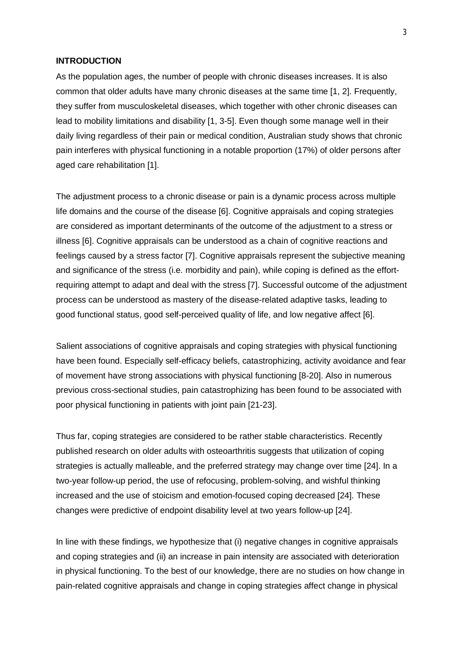#### **INTRODUCTION**

As the population ages, the number of people with chronic diseases increases. It is also common that older adults have many chronic diseases at the same time [1, 2]. Frequently, they suffer from musculoskeletal diseases, which together with other chronic diseases can lead to mobility limitations and disability [1, 3-5]. Even though some manage well in their daily living regardless of their pain or medical condition, Australian study shows that chronic pain interferes with physical functioning in a notable proportion (17%) of older persons after aged care rehabilitation [1].

The adjustment process to a chronic disease or pain is a dynamic process across multiple life domains and the course of the disease [6]. Cognitive appraisals and coping strategies are considered as important determinants of the outcome of the adjustment to a stress or illness [6]. Cognitive appraisals can be understood as a chain of cognitive reactions and feelings caused by a stress factor [7]. Cognitive appraisals represent the subjective meaning and significance of the stress (i.e. morbidity and pain), while coping is defined as the effortrequiring attempt to adapt and deal with the stress [7]. Successful outcome of the adjustment process can be understood as mastery of the disease-related adaptive tasks, leading to good functional status, good self-perceived quality of life, and low negative affect [6].

Salient associations of cognitive appraisals and coping strategies with physical functioning have been found. Especially self-efficacy beliefs, catastrophizing, activity avoidance and fear of movement have strong associations with physical functioning [8-20]. Also in numerous previous cross-sectional studies, pain catastrophizing has been found to be associated with poor physical functioning in patients with joint pain [21-23].

Thus far, coping strategies are considered to be rather stable characteristics. Recently published research on older adults with osteoarthritis suggests that utilization of coping strategies is actually malleable, and the preferred strategy may change over time [24]. In a two-year follow-up period, the use of refocusing, problem-solving, and wishful thinking increased and the use of stoicism and emotion-focused coping decreased [24]. These changes were predictive of endpoint disability level at two years follow-up [24].

In line with these findings, we hypothesize that (i) negative changes in cognitive appraisals and coping strategies and (ii) an increase in pain intensity are associated with deterioration in physical functioning. To the best of our knowledge, there are no studies on how change in pain-related cognitive appraisals and change in coping strategies affect change in physical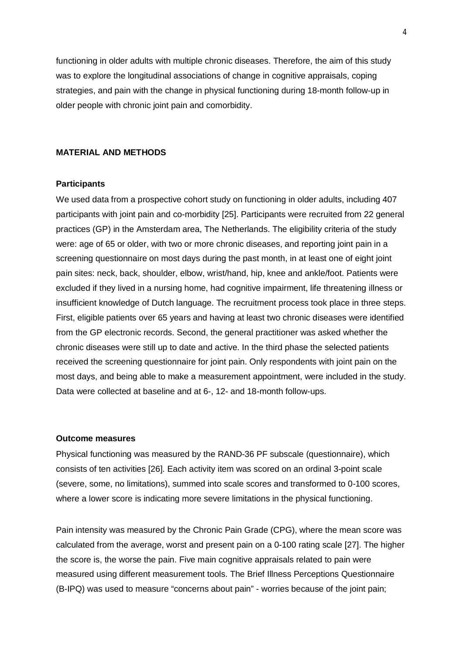functioning in older adults with multiple chronic diseases. Therefore, the aim of this study was to explore the longitudinal associations of change in cognitive appraisals, coping strategies, and pain with the change in physical functioning during 18-month follow-up in older people with chronic joint pain and comorbidity.

#### **MATERIAL AND METHODS**

#### **Participants**

We used data from a prospective cohort study on functioning in older adults, including 407 participants with joint pain and co-morbidity [25]. Participants were recruited from 22 general practices (GP) in the Amsterdam area, The Netherlands. The eligibility criteria of the study were: age of 65 or older, with two or more chronic diseases, and reporting joint pain in a screening questionnaire on most days during the past month, in at least one of eight joint pain sites: neck, back, shoulder, elbow, wrist/hand, hip, knee and ankle/foot. Patients were excluded if they lived in a nursing home, had cognitive impairment, life threatening illness or insufficient knowledge of Dutch language. The recruitment process took place in three steps. First, eligible patients over 65 years and having at least two chronic diseases were identified from the GP electronic records. Second, the general practitioner was asked whether the chronic diseases were still up to date and active. In the third phase the selected patients received the screening questionnaire for joint pain. Only respondents with joint pain on the most days, and being able to make a measurement appointment, were included in the study. Data were collected at baseline and at 6-, 12- and 18-month follow-ups.

#### **Outcome measures**

Physical functioning was measured by the RAND-36 PF subscale (questionnaire), which consists of ten activities [26]. Each activity item was scored on an ordinal 3-point scale (severe, some, no limitations), summed into scale scores and transformed to 0-100 scores, where a lower score is indicating more severe limitations in the physical functioning.

Pain intensity was measured by the Chronic Pain Grade (CPG), where the mean score was calculated from the average, worst and present pain on a 0-100 rating scale [27]. The higher the score is, the worse the pain. Five main cognitive appraisals related to pain were measured using different measurement tools. The Brief Illness Perceptions Questionnaire (B-IPQ) was used to measure "concerns about pain" - worries because of the joint pain;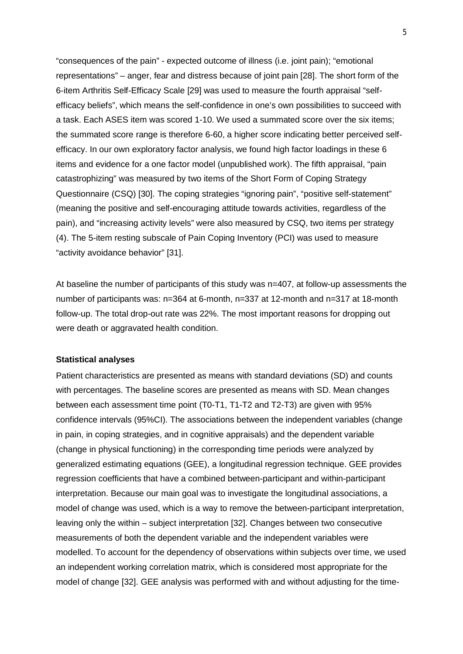"consequences of the pain" - expected outcome of illness (i.e. joint pain); "emotional representations" – anger, fear and distress because of joint pain [28]. The short form of the 6-item Arthritis Self-Efficacy Scale [29] was used to measure the fourth appraisal "selfefficacy beliefs", which means the self-confidence in one's own possibilities to succeed with a task. Each ASES item was scored 1-10. We used a summated score over the six items; the summated score range is therefore 6-60, a higher score indicating better perceived selfefficacy. In our own exploratory factor analysis, we found high factor loadings in these 6 items and evidence for a one factor model (unpublished work). The fifth appraisal, "pain catastrophizing" was measured by two items of the Short Form of Coping Strategy Questionnaire (CSQ) [30]. The coping strategies "ignoring pain", "positive self-statement" (meaning the positive and self-encouraging attitude towards activities, regardless of the pain), and "increasing activity levels" were also measured by CSQ, two items per strategy (4). The 5-item resting subscale of Pain Coping Inventory (PCI) was used to measure "activity avoidance behavior" [31].

At baseline the number of participants of this study was n=407, at follow-up assessments the number of participants was: n=364 at 6-month, n=337 at 12-month and n=317 at 18-month follow-up. The total drop-out rate was 22%. The most important reasons for dropping out were death or aggravated health condition.

#### **Statistical analyses**

Patient characteristics are presented as means with standard deviations (SD) and counts with percentages. The baseline scores are presented as means with SD. Mean changes between each assessment time point (T0-T1, T1-T2 and T2-T3) are given with 95% confidence intervals (95%CI). The associations between the independent variables (change in pain, in coping strategies, and in cognitive appraisals) and the dependent variable (change in physical functioning) in the corresponding time periods were analyzed by generalized estimating equations (GEE), a longitudinal regression technique. GEE provides regression coefficients that have a combined between-participant and within-participant interpretation. Because our main goal was to investigate the longitudinal associations, a model of change was used, which is a way to remove the between-participant interpretation, leaving only the within – subject interpretation [32]. Changes between two consecutive measurements of both the dependent variable and the independent variables were modelled. To account for the dependency of observations within subjects over time, we used an independent working correlation matrix, which is considered most appropriate for the model of change [32]. GEE analysis was performed with and without adjusting for the time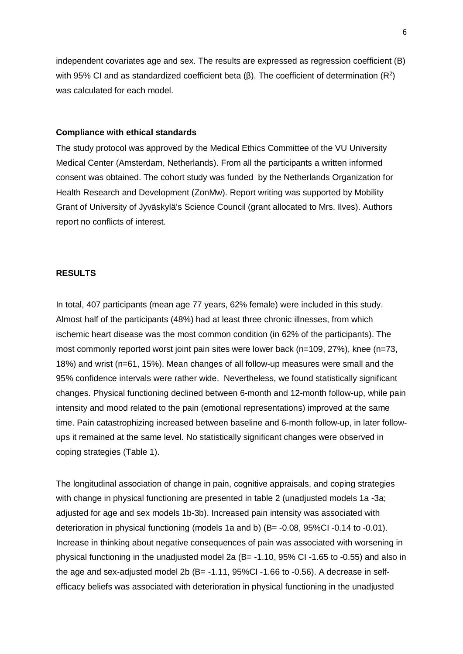independent covariates age and sex. The results are expressed as regression coefficient (B) with 95% CI and as standardized coefficient beta (β). The coefficient of determination (R<sup>2</sup>) was calculated for each model.

#### **Compliance with ethical standards**

The study protocol was approved by the Medical Ethics Committee of the VU University Medical Center (Amsterdam, Netherlands). From all the participants a written informed consent was obtained. The cohort study was funded by the Netherlands Organization for Health Research and Development (ZonMw). Report writing was supported by Mobility Grant of University of Jyväskylä's Science Council (grant allocated to Mrs. Ilves). Authors report no conflicts of interest.

#### **RESULTS**

In total, 407 participants (mean age 77 years, 62% female) were included in this study. Almost half of the participants (48%) had at least three chronic illnesses, from which ischemic heart disease was the most common condition (in 62% of the participants). The most commonly reported worst joint pain sites were lower back (n=109, 27%), knee (n=73, 18%) and wrist (n=61, 15%). Mean changes of all follow-up measures were small and the 95% confidence intervals were rather wide. Nevertheless, we found statistically significant changes. Physical functioning declined between 6-month and 12-month follow-up, while pain intensity and mood related to the pain (emotional representations) improved at the same time. Pain catastrophizing increased between baseline and 6-month follow-up, in later followups it remained at the same level. No statistically significant changes were observed in coping strategies (Table 1).

The longitudinal association of change in pain, cognitive appraisals, and coping strategies with change in physical functioning are presented in table 2 (unadjusted models 1a -3a; adjusted for age and sex models 1b-3b). Increased pain intensity was associated with deterioration in physical functioning (models 1a and b) (B= -0.08, 95%CI -0.14 to -0.01). Increase in thinking about negative consequences of pain was associated with worsening in physical functioning in the unadjusted model 2a (B= -1.10, 95% CI -1.65 to -0.55) and also in the age and sex-adjusted model 2b (B= -1.11, 95%CI -1.66 to -0.56). A decrease in selfefficacy beliefs was associated with deterioration in physical functioning in the unadjusted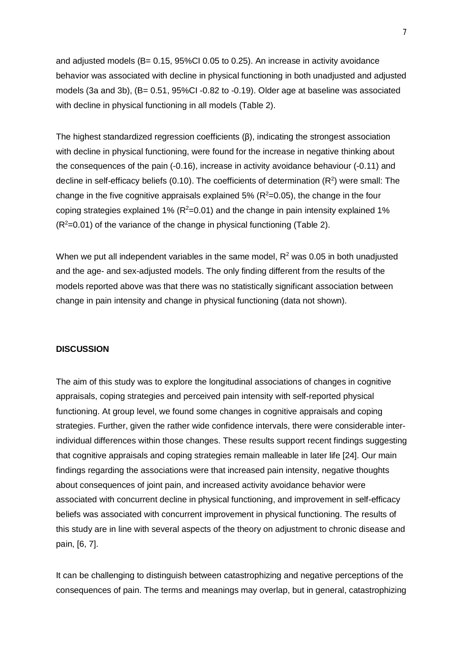and adjusted models ( $B = 0.15$ ,  $95\%$ CI 0.05 to 0.25). An increase in activity avoidance behavior was associated with decline in physical functioning in both unadjusted and adjusted models (3a and 3b), (B= 0.51, 95%CI -0.82 to -0.19). Older age at baseline was associated with decline in physical functioning in all models (Table 2).

The highest standardized regression coefficients (β), indicating the strongest association with decline in physical functioning, were found for the increase in negative thinking about the consequences of the pain (-0.16), increase in activity avoidance behaviour (-0.11) and decline in self-efficacy beliefs (0.10). The coefficients of determination  $(R^2)$  were small: The change in the five cognitive appraisals explained 5% ( $R^2$ =0.05), the change in the four coping strategies explained 1% ( $R^2$ =0.01) and the change in pain intensity explained 1%  $(R<sup>2</sup>=0.01)$  of the variance of the change in physical functioning (Table 2).

When we put all independent variables in the same model,  $R^2$  was 0.05 in both unadjusted and the age- and sex-adjusted models. The only finding different from the results of the models reported above was that there was no statistically significant association between change in pain intensity and change in physical functioning (data not shown).

#### **DISCUSSION**

The aim of this study was to explore the longitudinal associations of changes in cognitive appraisals, coping strategies and perceived pain intensity with self-reported physical functioning. At group level, we found some changes in cognitive appraisals and coping strategies. Further, given the rather wide confidence intervals, there were considerable interindividual differences within those changes. These results support recent findings suggesting that cognitive appraisals and coping strategies remain malleable in later life [24]. Our main findings regarding the associations were that increased pain intensity, negative thoughts about consequences of joint pain, and increased activity avoidance behavior were associated with concurrent decline in physical functioning, and improvement in self-efficacy beliefs was associated with concurrent improvement in physical functioning. The results of this study are in line with several aspects of the theory on adjustment to chronic disease and pain, [6, 7].

It can be challenging to distinguish between catastrophizing and negative perceptions of the consequences of pain. The terms and meanings may overlap, but in general, catastrophizing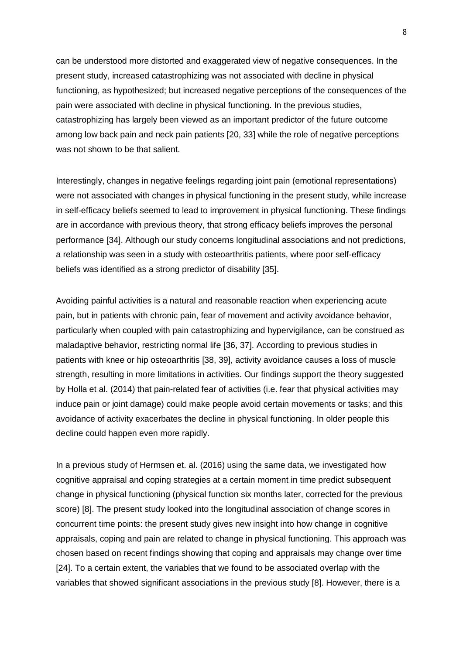can be understood more distorted and exaggerated view of negative consequences. In the present study, increased catastrophizing was not associated with decline in physical functioning, as hypothesized; but increased negative perceptions of the consequences of the pain were associated with decline in physical functioning. In the previous studies, catastrophizing has largely been viewed as an important predictor of the future outcome among low back pain and neck pain patients [20, 33] while the role of negative perceptions was not shown to be that salient.

Interestingly, changes in negative feelings regarding joint pain (emotional representations) were not associated with changes in physical functioning in the present study, while increase in self-efficacy beliefs seemed to lead to improvement in physical functioning. These findings are in accordance with previous theory, that strong efficacy beliefs improves the personal performance [34]. Although our study concerns longitudinal associations and not predictions, a relationship was seen in a study with osteoarthritis patients, where poor self-efficacy beliefs was identified as a strong predictor of disability [35].

Avoiding painful activities is a natural and reasonable reaction when experiencing acute pain, but in patients with chronic pain, fear of movement and activity avoidance behavior, particularly when coupled with pain catastrophizing and hypervigilance, can be construed as maladaptive behavior, restricting normal life [36, 37]. According to previous studies in patients with knee or hip osteoarthritis [38, 39], activity avoidance causes a loss of muscle strength, resulting in more limitations in activities. Our findings support the theory suggested by Holla et al. (2014) that pain-related fear of activities (i.e. fear that physical activities may induce pain or joint damage) could make people avoid certain movements or tasks; and this avoidance of activity exacerbates the decline in physical functioning. In older people this decline could happen even more rapidly.

In a previous study of Hermsen et. al. (2016) using the same data, we investigated how cognitive appraisal and coping strategies at a certain moment in time predict subsequent change in physical functioning (physical function six months later, corrected for the previous score) [8]. The present study looked into the longitudinal association of change scores in concurrent time points: the present study gives new insight into how change in cognitive appraisals, coping and pain are related to change in physical functioning. This approach was chosen based on recent findings showing that coping and appraisals may change over time [24]. To a certain extent, the variables that we found to be associated overlap with the variables that showed significant associations in the previous study [8]. However, there is a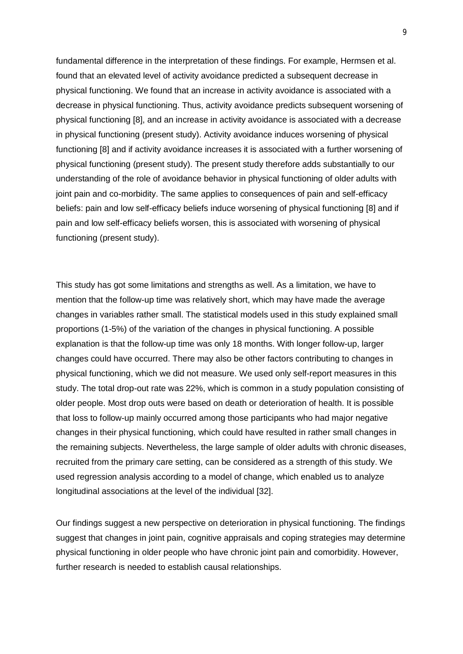fundamental difference in the interpretation of these findings. For example, Hermsen et al. found that an elevated level of activity avoidance predicted a subsequent decrease in physical functioning. We found that an increase in activity avoidance is associated with a decrease in physical functioning. Thus, activity avoidance predicts subsequent worsening of physical functioning [8], and an increase in activity avoidance is associated with a decrease in physical functioning (present study). Activity avoidance induces worsening of physical functioning [8] and if activity avoidance increases it is associated with a further worsening of physical functioning (present study). The present study therefore adds substantially to our understanding of the role of avoidance behavior in physical functioning of older adults with joint pain and co-morbidity. The same applies to consequences of pain and self-efficacy beliefs: pain and low self-efficacy beliefs induce worsening of physical functioning [8] and if pain and low self-efficacy beliefs worsen, this is associated with worsening of physical functioning (present study).

This study has got some limitations and strengths as well. As a limitation, we have to mention that the follow-up time was relatively short, which may have made the average changes in variables rather small. The statistical models used in this study explained small proportions (1-5%) of the variation of the changes in physical functioning. A possible explanation is that the follow-up time was only 18 months. With longer follow-up, larger changes could have occurred. There may also be other factors contributing to changes in physical functioning, which we did not measure. We used only self-report measures in this study. The total drop-out rate was 22%, which is common in a study population consisting of older people. Most drop outs were based on death or deterioration of health. It is possible that loss to follow-up mainly occurred among those participants who had major negative changes in their physical functioning, which could have resulted in rather small changes in the remaining subjects. Nevertheless, the large sample of older adults with chronic diseases, recruited from the primary care setting, can be considered as a strength of this study. We used regression analysis according to a model of change, which enabled us to analyze longitudinal associations at the level of the individual [32].

Our findings suggest a new perspective on deterioration in physical functioning. The findings suggest that changes in joint pain, cognitive appraisals and coping strategies may determine physical functioning in older people who have chronic joint pain and comorbidity. However, further research is needed to establish causal relationships.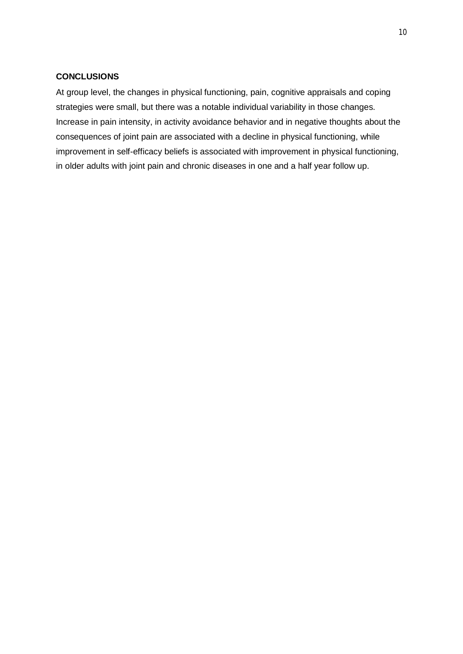### **CONCLUSIONS**

At group level, the changes in physical functioning, pain, cognitive appraisals and coping strategies were small, but there was a notable individual variability in those changes. Increase in pain intensity, in activity avoidance behavior and in negative thoughts about the consequences of joint pain are associated with a decline in physical functioning, while improvement in self-efficacy beliefs is associated with improvement in physical functioning, in older adults with joint pain and chronic diseases in one and a half year follow up.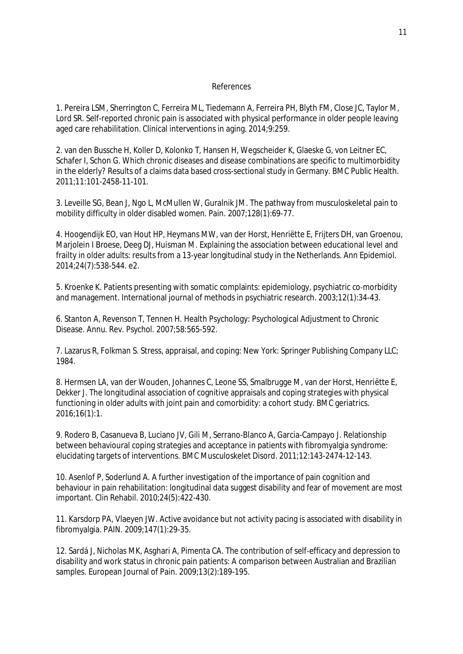#### References

1. Pereira LSM, Sherrington C, Ferreira ML, Tiedemann A, Ferreira PH, Blyth FM, Close JC, Taylor M, Lord SR. Self-reported chronic pain is associated with physical performance in older people leaving aged care rehabilitation. Clinical interventions in aging. 2014;9:259.

2. van den Bussche H, Koller D, Kolonko T, Hansen H, Wegscheider K, Glaeske G, von Leitner EC, Schafer I, Schon G. Which chronic diseases and disease combinations are specific to multimorbidity in the elderly? Results of a claims data based cross-sectional study in Germany. BMC Public Health. 2011;11:101-2458-11-101.

3. Leveille SG, Bean J, Ngo L, McMullen W, Guralnik JM. The pathway from musculoskeletal pain to mobility difficulty in older disabled women. Pain. 2007;128(1):69-77.

4. Hoogendijk EO, van Hout HP, Heymans MW, van der Horst, Henriëtte E, Frijters DH, van Groenou, Marjolein I Broese, Deeg DJ, Huisman M. Explaining the association between educational level and frailty in older adults: results from a 13-year longitudinal study in the Netherlands. Ann Epidemiol. 2014;24(7):538-544. e2.

5. Kroenke K. Patients presenting with somatic complaints: epidemiology, psychiatric co-morbidity and management. International journal of methods in psychiatric research. 2003;12(1):34-43.

6. Stanton A, Revenson T, Tennen H. Health Psychology: Psychological Adjustment to Chronic Disease. Annu. Rev. Psychol. 2007;58:565-592.

7. Lazarus R, Folkman S. Stress, appraisal, and coping: New York: Springer Publishing Company LLC; 1984.

8. Hermsen LA, van der Wouden, Johannes C, Leone SS, Smalbrugge M, van der Horst, Henriëtte E, Dekker J. The longitudinal association of cognitive appraisals and coping strategies with physical functioning in older adults with joint pain and comorbidity: a cohort study. BMC geriatrics. 2016;16(1):1.

9. Rodero B, Casanueva B, Luciano JV, Gili M, Serrano-Blanco A, Garcia-Campayo J. Relationship between behavioural coping strategies and acceptance in patients with fibromyalgia syndrome: elucidating targets of interventions. BMC Musculoskelet Disord. 2011;12:143-2474-12-143.

10. Asenlof P, Soderlund A. A further investigation of the importance of pain cognition and behaviour in pain rehabilitation: longitudinal data suggest disability and fear of movement are most important. Clin Rehabil. 2010;24(5):422-430.

11. Karsdorp PA, Vlaeyen JW. Active avoidance but not activity pacing is associated with disability in fibromyalgia. PAIN. 2009;147(1):29-35.

12. Sardá J, Nicholas MK, Asghari A, Pimenta CA. The contribution of self-efficacy and depression to disability and work status in chronic pain patients: A comparison between Australian and Brazilian samples. European Journal of Pain. 2009;13(2):189-195.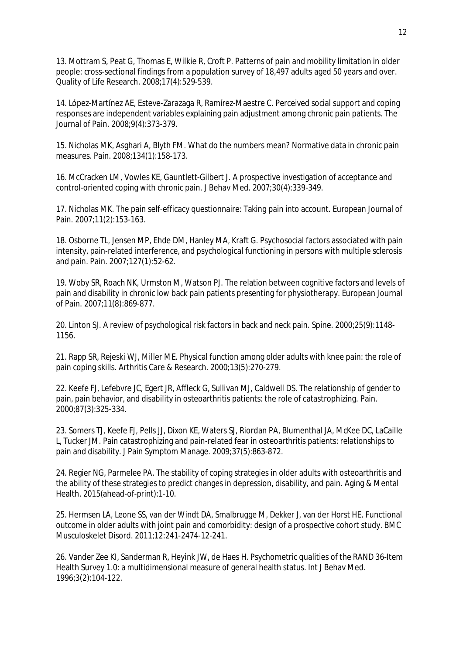13. Mottram S, Peat G, Thomas E, Wilkie R, Croft P. Patterns of pain and mobility limitation in older people: cross-sectional findings from a population survey of 18,497 adults aged 50 years and over. Quality of Life Research. 2008;17(4):529-539.

14. López-Martínez AE, Esteve-Zarazaga R, Ramírez-Maestre C. Perceived social support and coping responses are independent variables explaining pain adjustment among chronic pain patients. The Journal of Pain. 2008;9(4):373-379.

15. Nicholas MK, Asghari A, Blyth FM. What do the numbers mean? Normative data in chronic pain measures. Pain. 2008;134(1):158-173.

16. McCracken LM, Vowles KE, Gauntlett-Gilbert J. A prospective investigation of acceptance and control-oriented coping with chronic pain. J Behav Med. 2007;30(4):339-349.

17. Nicholas MK. The pain self-efficacy questionnaire: Taking pain into account. European Journal of Pain. 2007;11(2):153-163.

18. Osborne TL, Jensen MP, Ehde DM, Hanley MA, Kraft G. Psychosocial factors associated with pain intensity, pain-related interference, and psychological functioning in persons with multiple sclerosis and pain. Pain. 2007;127(1):52-62.

19. Woby SR, Roach NK, Urmston M, Watson PJ. The relation between cognitive factors and levels of pain and disability in chronic low back pain patients presenting for physiotherapy. European Journal of Pain. 2007;11(8):869-877.

20. Linton SJ. A review of psychological risk factors in back and neck pain. Spine. 2000;25(9):1148- 1156.

21. Rapp SR, Rejeski WJ, Miller ME. Physical function among older adults with knee pain: the role of pain coping skills. Arthritis Care & Research. 2000;13(5):270-279.

22. Keefe FJ, Lefebvre JC, Egert JR, Affleck G, Sullivan MJ, Caldwell DS. The relationship of gender to pain, pain behavior, and disability in osteoarthritis patients: the role of catastrophizing. Pain. 2000;87(3):325-334.

23. Somers TJ, Keefe FJ, Pells JJ, Dixon KE, Waters SJ, Riordan PA, Blumenthal JA, McKee DC, LaCaille L, Tucker JM. Pain catastrophizing and pain-related fear in osteoarthritis patients: relationships to pain and disability. J Pain Symptom Manage. 2009;37(5):863-872.

24. Regier NG, Parmelee PA. The stability of coping strategies in older adults with osteoarthritis and the ability of these strategies to predict changes in depression, disability, and pain. Aging & Mental Health. 2015(ahead-of-print):1-10.

25. Hermsen LA, Leone SS, van der Windt DA, Smalbrugge M, Dekker J, van der Horst HE. Functional outcome in older adults with joint pain and comorbidity: design of a prospective cohort study. BMC Musculoskelet Disord. 2011;12:241-2474-12-241.

26. Vander Zee KI, Sanderman R, Heyink JW, de Haes H. Psychometric qualities of the RAND 36-Item Health Survey 1.0: a multidimensional measure of general health status. Int J Behav Med. 1996;3(2):104-122.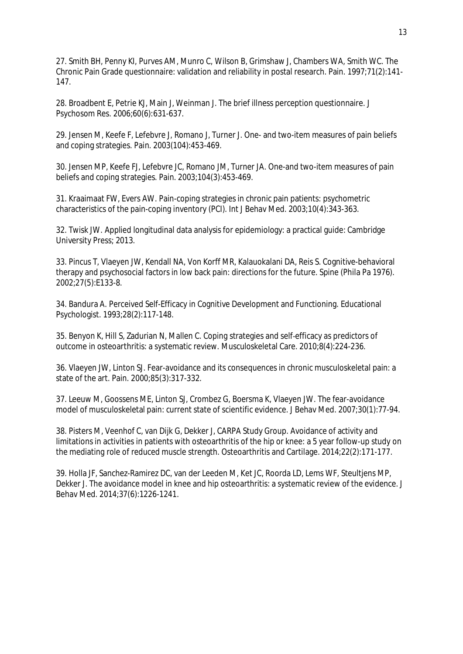27. Smith BH, Penny KI, Purves AM, Munro C, Wilson B, Grimshaw J, Chambers WA, Smith WC. The Chronic Pain Grade questionnaire: validation and reliability in postal research. Pain. 1997;71(2):141- 147.

28. Broadbent E, Petrie KJ, Main J, Weinman J. The brief illness perception questionnaire. J Psychosom Res. 2006;60(6):631-637.

29. Jensen M, Keefe F, Lefebvre J, Romano J, Turner J. One- and two-item measures of pain beliefs and coping strategies. Pain. 2003(104):453-469.

30. Jensen MP, Keefe FJ, Lefebvre JC, Romano JM, Turner JA. One-and two-item measures of pain beliefs and coping strategies. Pain. 2003;104(3):453-469.

31. Kraaimaat FW, Evers AW. Pain-coping strategies in chronic pain patients: psychometric characteristics of the pain-coping inventory (PCI). Int J Behav Med. 2003;10(4):343-363.

32. Twisk JW. Applied longitudinal data analysis for epidemiology: a practical guide: Cambridge University Press; 2013.

33. Pincus T, Vlaeyen JW, Kendall NA, Von Korff MR, Kalauokalani DA, Reis S. Cognitive-behavioral therapy and psychosocial factors in low back pain: directions for the future. Spine (Phila Pa 1976). 2002;27(5):E133-8.

34. Bandura A. Perceived Self-Efficacy in Cognitive Development and Functioning. Educational Psychologist. 1993;28(2):117-148.

35. Benyon K, Hill S, Zadurian N, Mallen C. Coping strategies and self-efficacy as predictors of outcome in osteoarthritis: a systematic review. Musculoskeletal Care. 2010;8(4):224-236.

36. Vlaeyen JW, Linton SJ. Fear-avoidance and its consequences in chronic musculoskeletal pain: a state of the art. Pain. 2000;85(3):317-332.

37. Leeuw M, Goossens ME, Linton SJ, Crombez G, Boersma K, Vlaeyen JW. The fear-avoidance model of musculoskeletal pain: current state of scientific evidence. J Behav Med. 2007;30(1):77-94.

38. Pisters M, Veenhof C, van Dijk G, Dekker J, CARPA Study Group. Avoidance of activity and limitations in activities in patients with osteoarthritis of the hip or knee: a 5 year follow-up study on the mediating role of reduced muscle strength. Osteoarthritis and Cartilage. 2014;22(2):171-177.

39. Holla JF, Sanchez-Ramirez DC, van der Leeden M, Ket JC, Roorda LD, Lems WF, Steultjens MP, Dekker J. The avoidance model in knee and hip osteoarthritis: a systematic review of the evidence. J Behav Med. 2014;37(6):1226-1241.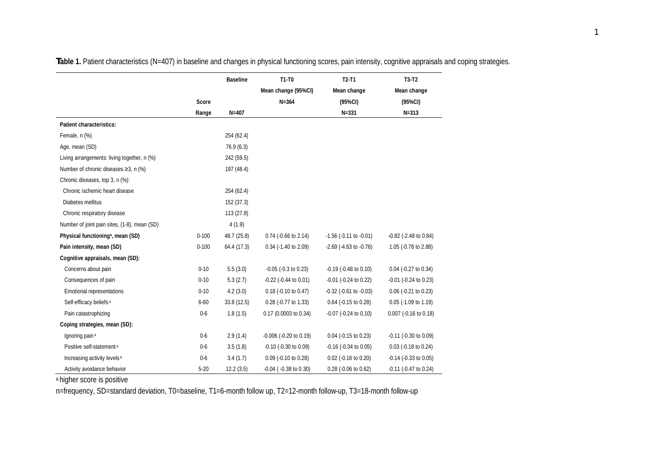|                                               |           | <b>Baseline</b> | $T1-T0$                       | $T2-T1$                        | $T3-T2$                       |
|-----------------------------------------------|-----------|-----------------|-------------------------------|--------------------------------|-------------------------------|
|                                               |           |                 | Mean change (95%CI)           | Mean change                    | Mean change                   |
|                                               | Score     |                 | $N = 364$                     | (95%CI)                        | $(95\%CI)$                    |
|                                               | Range     | $N = 407$       |                               | $N = 331$                      | $N = 313$                     |
| Patient characteristics:                      |           |                 |                               |                                |                               |
| Female, n (%)                                 |           | 254 (62.4)      |                               |                                |                               |
| Age, mean (SD)                                |           | 76.9(6.3)       |                               |                                |                               |
| Living arrangements: living together, n (%)   |           | 242 (59.5)      |                               |                                |                               |
| Number of chronic diseases ≥3, n (%)          |           | 197 (48.4)      |                               |                                |                               |
| Chronic diseases, top 3, n (%):               |           |                 |                               |                                |                               |
| Chronic ischemic heart disease                |           | 254 (62.4)      |                               |                                |                               |
| Diabetes mellitus                             |           | 152 (37.3)      |                               |                                |                               |
| Chronic respiratory disease                   |           | 113 (27.8)      |                               |                                |                               |
| Number of joint pain sites, (1-8), mean (SD)  |           | 4(1.9)          |                               |                                |                               |
| Physical functioning <sup>a</sup> , mean (SD) | $0 - 100$ | 48.7 (25.8)     | $0.74$ (-0.66 to 2.14)        | $-1.56$ ( $-3.11$ to $-0.01$ ) | $-0.82$ ( $-2.48$ to $0.84$ ) |
| Pain intensity, mean (SD)                     | $0 - 100$ | 64.4 (17.3)     | $0.34$ (-1.40 to 2.09)        | $-2.69$ ( $-4.63$ to $-0.76$ ) | 1.05 (-0.78 to 2.88)          |
| Cognitive appraisals, mean (SD):              |           |                 |                               |                                |                               |
| Concerns about pain                           | $0 - 10$  | 5.5(3.0)        | $-0.05$ ( $-0.3$ to 0.23)     | $-0.19$ ( $-0.48$ to $0.10$ )  | $0.04$ ( $-0.27$ to $0.34$ )  |
| Consequences of pain                          | $0 - 10$  | 5.3(2.7)        | $-0.22$ ( $-0.44$ to $0.01$ ) | $-0.01$ ( $-0.24$ to 0.22)     | $-0.01$ ( $-0.24$ to 0.23)    |
| <b>Emotional representations</b>              | $0 - 10$  | 4.2(3.0)        | $0.18$ (-0.10 to 0.47)        | $-0.32$ ( $-0.61$ to $-0.03$ ) | $0.06$ (-0.21 to 0.23)        |
| Self-efficacy beliefs <sup>a</sup>            | $6 - 60$  | 33.8 (12.5)     | 0.28 (-0.77 to 1.33)          | 0.64 (-0.15 to 0.28)           | $0.05$ (-1.09 to 1.19)        |
| Pain catastrophizing                          | $0-6$     | 1.8(1.5)        | 0.17 (0.0003 to 0.34)         | $-0.07$ $(-0.24$ to $0.10)$    | 0.007 (-0.16 to 0.18)         |
| Coping strategies, mean (SD):                 |           |                 |                               |                                |                               |
| Ignoring pain <sup>a</sup>                    | $0-6$     | 2.9(1.4)        | $-0.006$ $(-0.20$ to $0.19)$  | 0.04 (-0.15 to 0.23)           | $-0.11$ $(-0.30$ to $0.09)$   |
| Positive self-statement <sup>a</sup>          | $0-6$     | 3.5(1.8)        | $-0.10$ ( $-0.30$ to $0.09$ ) | $-0.16$ ( $-0.34$ to $0.05$ )  | $0.03$ (-0.18 to 0.24)        |
| Increasing activity levels <sup>a</sup>       | $0-6$     | 3.4(1.7)        | $0.09$ (-0.10 to 0.28)        | 0.02 (-0.16 to 0.20)           | $-0.14$ ( $-0.33$ to $0.05$ ) |
| Activity avoidance behavior                   | $5 - 20$  | 12.2(3.5)       | $-0.04$ ( $-0.38$ to $0.30$ ) | 0.28 (-0.06 to 0.62)           | -0.11 (-0.47 to 0.24)         |

**Table 1.** Patient characteristics (N=407) in baseline and changes in physical functioning scores, pain intensity, cognitive appraisals and coping strategies.

a higher score is positive

n=frequency, SD=standard deviation, T0=baseline, T1=6-month follow up, T2=12-month follow-up, T3=18-month follow-up